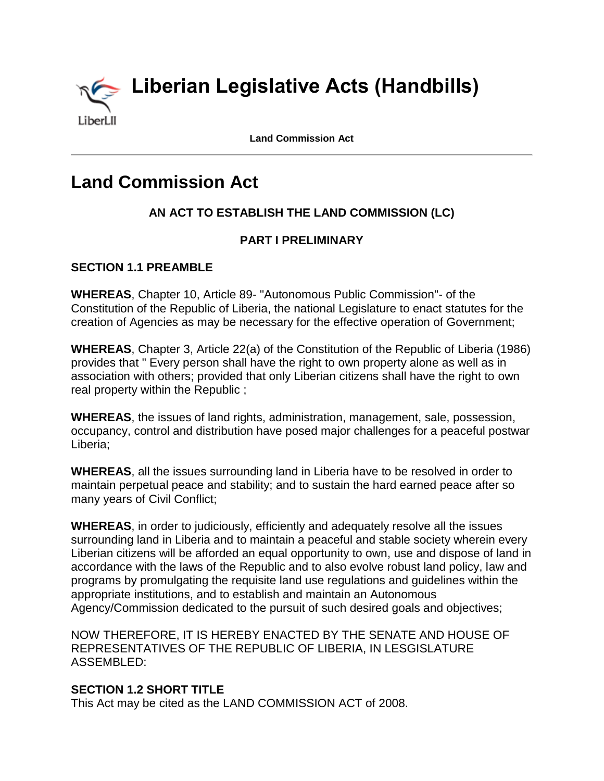

**Land Commission Act**

# **Land Commission Act**

# **AN ACT TO ESTABLISH THE LAND COMMISSION (LC)**

## **PART I PRELIMINARY**

## **SECTION 1.1 PREAMBLE**

**WHEREAS**, Chapter 10, Article 89- "Autonomous Public Commission"- of the Constitution of the Republic of Liberia, the national Legislature to enact statutes for the creation of Agencies as may be necessary for the effective operation of Government;

**WHEREAS**, Chapter 3, Article 22(a) of the Constitution of the Republic of Liberia (1986) provides that " Every person shall have the right to own property alone as well as in association with others; provided that only Liberian citizens shall have the right to own real property within the Republic ;

**WHEREAS**, the issues of land rights, administration, management, sale, possession, occupancy, control and distribution have posed major challenges for a peaceful postwar Liberia;

**WHEREAS**, all the issues surrounding land in Liberia have to be resolved in order to maintain perpetual peace and stability; and to sustain the hard earned peace after so many years of Civil Conflict;

**WHEREAS**, in order to judiciously, efficiently and adequately resolve all the issues surrounding land in Liberia and to maintain a peaceful and stable society wherein every Liberian citizens will be afforded an equal opportunity to own, use and dispose of land in accordance with the laws of the Republic and to also evolve robust land policy, law and programs by promulgating the requisite land use regulations and guidelines within the appropriate institutions, and to establish and maintain an Autonomous Agency/Commission dedicated to the pursuit of such desired goals and objectives;

NOW THEREFORE, IT IS HEREBY ENACTED BY THE SENATE AND HOUSE OF REPRESENTATIVES OF THE REPUBLIC OF LIBERIA, IN LESGISLATURE ASSEMBLED:

## **SECTION 1.2 SHORT TITLE**

This Act may be cited as the LAND COMMISSION ACT of 2008.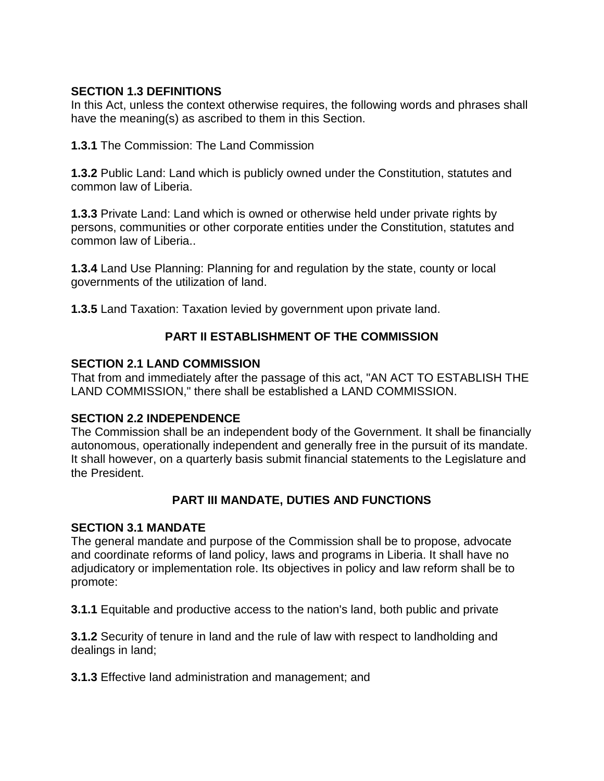## **SECTION 1.3 DEFINITIONS**

In this Act, unless the context otherwise requires, the following words and phrases shall have the meaning(s) as ascribed to them in this Section.

**1.3.1** The Commission: The Land Commission

**1.3.2** Public Land: Land which is publicly owned under the Constitution, statutes and common law of Liberia.

**1.3.3** Private Land: Land which is owned or otherwise held under private rights by persons, communities or other corporate entities under the Constitution, statutes and common law of Liberia..

**1.3.4** Land Use Planning: Planning for and regulation by the state, county or local governments of the utilization of land.

**1.3.5** Land Taxation: Taxation levied by government upon private land.

# **PART II ESTABLISHMENT OF THE COMMISSION**

## **SECTION 2.1 LAND COMMISSION**

That from and immediately after the passage of this act, "AN ACT TO ESTABLISH THE LAND COMMISSION," there shall be established a LAND COMMISSION.

## **SECTION 2.2 INDEPENDENCE**

The Commission shall be an independent body of the Government. It shall be financially autonomous, operationally independent and generally free in the pursuit of its mandate. It shall however, on a quarterly basis submit financial statements to the Legislature and the President.

# **PART III MANDATE, DUTIES AND FUNCTIONS**

#### **SECTION 3.1 MANDATE**

The general mandate and purpose of the Commission shall be to propose, advocate and coordinate reforms of land policy, laws and programs in Liberia. It shall have no adjudicatory or implementation role. Its objectives in policy and law reform shall be to promote:

**3.1.1** Equitable and productive access to the nation's land, both public and private

**3.1.2** Security of tenure in land and the rule of law with respect to landholding and dealings in land;

**3.1.3** Effective land administration and management; and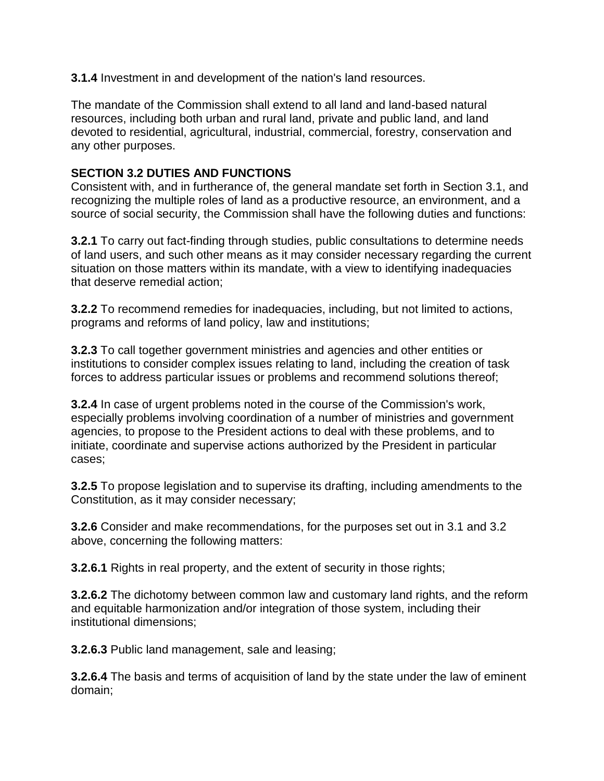**3.1.4** Investment in and development of the nation's land resources.

The mandate of the Commission shall extend to all land and land-based natural resources, including both urban and rural land, private and public land, and land devoted to residential, agricultural, industrial, commercial, forestry, conservation and any other purposes.

## **SECTION 3.2 DUTIES AND FUNCTIONS**

Consistent with, and in furtherance of, the general mandate set forth in Section 3.1, and recognizing the multiple roles of land as a productive resource, an environment, and a source of social security, the Commission shall have the following duties and functions:

**3.2.1** To carry out fact-finding through studies, public consultations to determine needs of land users, and such other means as it may consider necessary regarding the current situation on those matters within its mandate, with a view to identifying inadequacies that deserve remedial action;

**3.2.2** To recommend remedies for inadequacies, including, but not limited to actions, programs and reforms of land policy, law and institutions;

**3.2.3** To call together government ministries and agencies and other entities or institutions to consider complex issues relating to land, including the creation of task forces to address particular issues or problems and recommend solutions thereof;

**3.2.4** In case of urgent problems noted in the course of the Commission's work, especially problems involving coordination of a number of ministries and government agencies, to propose to the President actions to deal with these problems, and to initiate, coordinate and supervise actions authorized by the President in particular cases;

**3.2.5** To propose legislation and to supervise its drafting, including amendments to the Constitution, as it may consider necessary;

**3.2.6** Consider and make recommendations, for the purposes set out in 3.1 and 3.2 above, concerning the following matters:

**3.2.6.1** Rights in real property, and the extent of security in those rights;

**3.2.6.2** The dichotomy between common law and customary land rights, and the reform and equitable harmonization and/or integration of those system, including their institutional dimensions;

**3.2.6.3** Public land management, sale and leasing;

**3.2.6.4** The basis and terms of acquisition of land by the state under the law of eminent domain;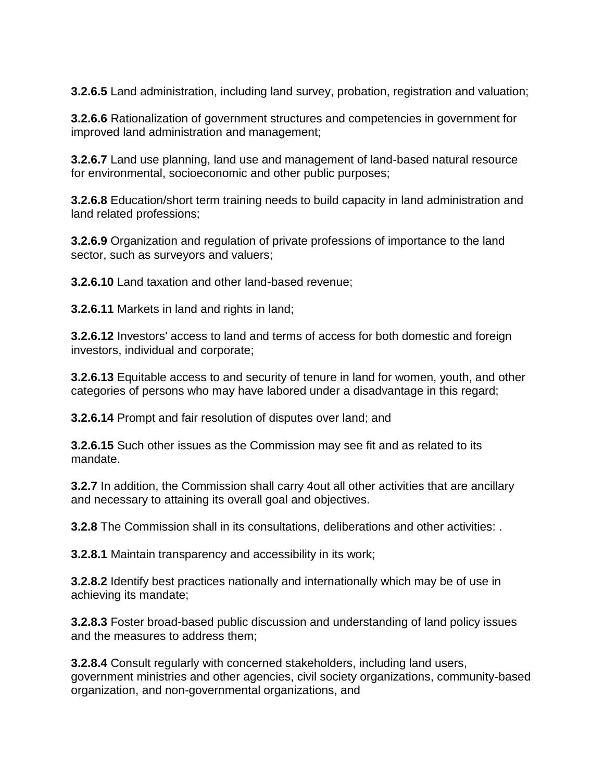**3.2.6.5** Land administration, including land survey, probation, registration and valuation;

**3.2.6.6** Rationalization of government structures and competencies in government for improved land administration and management;

**3.2.6.7** Land use planning, land use and management of land-based natural resource for environmental, socioeconomic and other public purposes;

**3.2.6.8** Education/short term training needs to build capacity in land administration and land related professions;

**3.2.6.9** Organization and regulation of private professions of importance to the land sector, such as surveyors and valuers;

**3.2.6.10** Land taxation and other land-based revenue;

**3.2.6.11** Markets in land and rights in land;

**3.2.6.12** Investors' access to land and terms of access for both domestic and foreign investors, individual and corporate;

**3.2.6.13** Equitable access to and security of tenure in land for women, youth, and other categories of persons who may have labored under a disadvantage in this regard;

**3.2.6.14** Prompt and fair resolution of disputes over land; and

**3.2.6.15** Such other issues as the Commission may see fit and as related to its mandate.

**3.2.7** In addition, the Commission shall carry 4out all other activities that are ancillary and necessary to attaining its overall goal and objectives.

**3.2.8** The Commission shall in its consultations, deliberations and other activities: .

**3.2.8.1** Maintain transparency and accessibility in its work;

**3.2.8.2** Identify best practices nationally and internationally which may be of use in achieving its mandate;

**3.2.8.3** Foster broad-based public discussion and understanding of land policy issues and the measures to address them;

**3.2.8.4** Consult regularly with concerned stakeholders, including land users, government ministries and other agencies, civil society organizations, community-based organization, and non-governmental organizations, and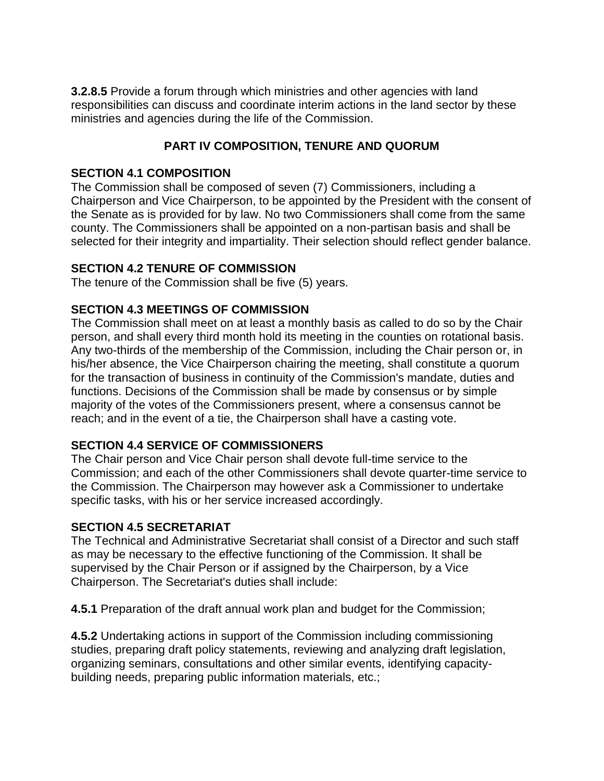**3.2.8.5** Provide a forum through which ministries and other agencies with land responsibilities can discuss and coordinate interim actions in the land sector by these ministries and agencies during the life of the Commission.

# **PART IV COMPOSITION, TENURE AND QUORUM**

## **SECTION 4.1 COMPOSITION**

The Commission shall be composed of seven (7) Commissioners, including a Chairperson and Vice Chairperson, to be appointed by the President with the consent of the Senate as is provided for by law. No two Commissioners shall come from the same county. The Commissioners shall be appointed on a non-partisan basis and shall be selected for their integrity and impartiality. Their selection should reflect gender balance.

## **SECTION 4.2 TENURE OF COMMISSION**

The tenure of the Commission shall be five (5) years.

## **SECTION 4.3 MEETINGS OF COMMISSION**

The Commission shall meet on at least a monthly basis as called to do so by the Chair person, and shall every third month hold its meeting in the counties on rotational basis. Any two-thirds of the membership of the Commission, including the Chair person or, in his/her absence, the Vice Chairperson chairing the meeting, shall constitute a quorum for the transaction of business in continuity of the Commission's mandate, duties and functions. Decisions of the Commission shall be made by consensus or by simple majority of the votes of the Commissioners present, where a consensus cannot be reach; and in the event of a tie, the Chairperson shall have a casting vote.

## **SECTION 4.4 SERVICE OF COMMISSIONERS**

The Chair person and Vice Chair person shall devote full-time service to the Commission; and each of the other Commissioners shall devote quarter-time service to the Commission. The Chairperson may however ask a Commissioner to undertake specific tasks, with his or her service increased accordingly.

#### **SECTION 4.5 SECRETARIAT**

The Technical and Administrative Secretariat shall consist of a Director and such staff as may be necessary to the effective functioning of the Commission. It shall be supervised by the Chair Person or if assigned by the Chairperson, by a Vice Chairperson. The Secretariat's duties shall include:

**4.5.1** Preparation of the draft annual work plan and budget for the Commission;

**4.5.2** Undertaking actions in support of the Commission including commissioning studies, preparing draft policy statements, reviewing and analyzing draft legislation, organizing seminars, consultations and other similar events, identifying capacitybuilding needs, preparing public information materials, etc.;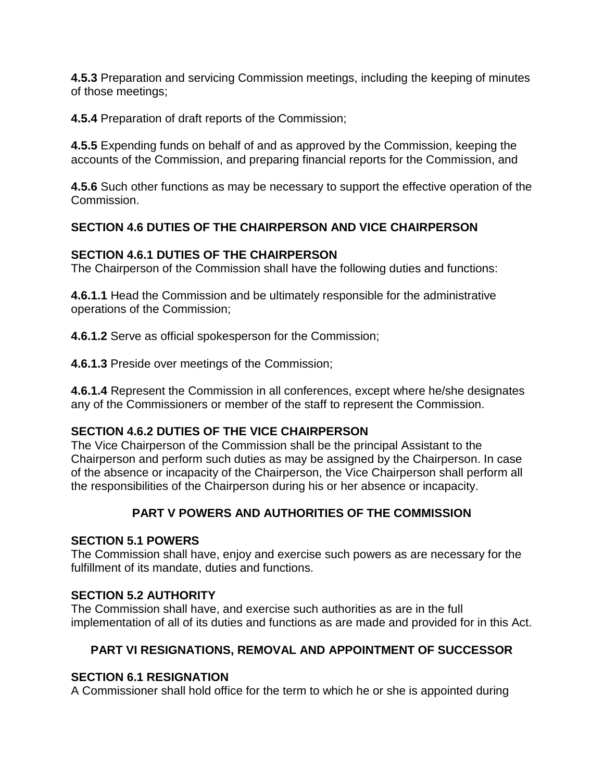**4.5.3** Preparation and servicing Commission meetings, including the keeping of minutes of those meetings;

**4.5.4** Preparation of draft reports of the Commission;

**4.5.5** Expending funds on behalf of and as approved by the Commission, keeping the accounts of the Commission, and preparing financial reports for the Commission, and

**4.5.6** Such other functions as may be necessary to support the effective operation of the Commission.

## **SECTION 4.6 DUTIES OF THE CHAIRPERSON AND VICE CHAIRPERSON**

## **SECTION 4.6.1 DUTIES OF THE CHAIRPERSON**

The Chairperson of the Commission shall have the following duties and functions:

**4.6.1.1** Head the Commission and be ultimately responsible for the administrative operations of the Commission;

**4.6.1.2** Serve as official spokesperson for the Commission;

**4.6.1.3** Preside over meetings of the Commission;

**4.6.1.4** Represent the Commission in all conferences, except where he/she designates any of the Commissioners or member of the staff to represent the Commission.

## **SECTION 4.6.2 DUTIES OF THE VICE CHAIRPERSON**

The Vice Chairperson of the Commission shall be the principal Assistant to the Chairperson and perform such duties as may be assigned by the Chairperson. In case of the absence or incapacity of the Chairperson, the Vice Chairperson shall perform all the responsibilities of the Chairperson during his or her absence or incapacity.

## **PART V POWERS AND AUTHORITIES OF THE COMMISSION**

#### **SECTION 5.1 POWERS**

The Commission shall have, enjoy and exercise such powers as are necessary for the fulfillment of its mandate, duties and functions.

#### **SECTION 5.2 AUTHORITY**

The Commission shall have, and exercise such authorities as are in the full implementation of all of its duties and functions as are made and provided for in this Act.

## **PART VI RESIGNATIONS, REMOVAL AND APPOINTMENT OF SUCCESSOR**

## **SECTION 6.1 RESIGNATION**

A Commissioner shall hold office for the term to which he or she is appointed during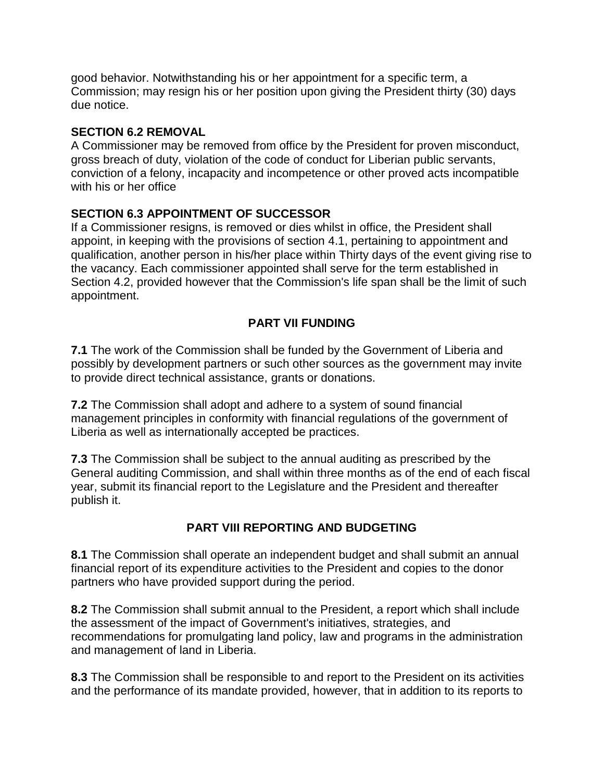good behavior. Notwithstanding his or her appointment for a specific term, a Commission; may resign his or her position upon giving the President thirty (30) days due notice.

## **SECTION 6.2 REMOVAL**

A Commissioner may be removed from office by the President for proven misconduct, gross breach of duty, violation of the code of conduct for Liberian public servants, conviction of a felony, incapacity and incompetence or other proved acts incompatible with his or her office

## **SECTION 6.3 APPOINTMENT OF SUCCESSOR**

If a Commissioner resigns, is removed or dies whilst in office, the President shall appoint, in keeping with the provisions of section 4.1, pertaining to appointment and qualification, another person in his/her place within Thirty days of the event giving rise to the vacancy. Each commissioner appointed shall serve for the term established in Section 4.2, provided however that the Commission's life span shall be the limit of such appointment.

# **PART VII FUNDING**

**7.1** The work of the Commission shall be funded by the Government of Liberia and possibly by development partners or such other sources as the government may invite to provide direct technical assistance, grants or donations.

**7.2** The Commission shall adopt and adhere to a system of sound financial management principles in conformity with financial regulations of the government of Liberia as well as internationally accepted be practices.

**7.3** The Commission shall be subject to the annual auditing as prescribed by the General auditing Commission, and shall within three months as of the end of each fiscal year, submit its financial report to the Legislature and the President and thereafter publish it.

# **PART VIII REPORTING AND BUDGETING**

**8.1** The Commission shall operate an independent budget and shall submit an annual financial report of its expenditure activities to the President and copies to the donor partners who have provided support during the period.

**8.2** The Commission shall submit annual to the President, a report which shall include the assessment of the impact of Government's initiatives, strategies, and recommendations for promulgating land policy, law and programs in the administration and management of land in Liberia.

**8.3** The Commission shall be responsible to and report to the President on its activities and the performance of its mandate provided, however, that in addition to its reports to